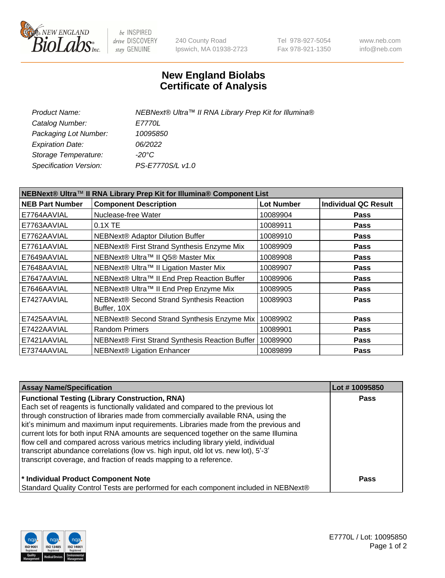

be INSPIRED drive DISCOVERY stay GENUINE

240 County Road Ipswich, MA 01938-2723 Tel 978-927-5054 Fax 978-921-1350 www.neb.com info@neb.com

## **New England Biolabs Certificate of Analysis**

| <b>Product Name:</b>    | NEBNext® Ultra™ II RNA Library Prep Kit for Illumina® |
|-------------------------|-------------------------------------------------------|
| Catalog Number:         | <i>E7770L</i>                                         |
| Packaging Lot Number:   | 10095850                                              |
| <b>Expiration Date:</b> | 06/2022                                               |
| Storage Temperature:    | -20°C                                                 |
| Specification Version:  | PS-E7770S/L v1.0                                      |
|                         |                                                       |

| NEBNext® Ultra™ II RNA Library Prep Kit for Illumina® Component List |                                                            |                   |                             |  |  |
|----------------------------------------------------------------------|------------------------------------------------------------|-------------------|-----------------------------|--|--|
| <b>NEB Part Number</b>                                               | <b>Component Description</b>                               | <b>Lot Number</b> | <b>Individual QC Result</b> |  |  |
| E7764AAVIAL                                                          | Nuclease-free Water                                        | 10089904          | <b>Pass</b>                 |  |  |
| E7763AAVIAL                                                          | 0.1X TE                                                    | 10089911          | <b>Pass</b>                 |  |  |
| E7762AAVIAL                                                          | <b>NEBNext® Adaptor Dilution Buffer</b>                    | 10089910          | <b>Pass</b>                 |  |  |
| E7761AAVIAL                                                          | NEBNext® First Strand Synthesis Enzyme Mix                 | 10089909          | <b>Pass</b>                 |  |  |
| E7649AAVIAL                                                          | NEBNext® Ultra™ II Q5® Master Mix                          | 10089908          | <b>Pass</b>                 |  |  |
| E7648AAVIAL                                                          | NEBNext® Ultra™ II Ligation Master Mix                     | 10089907          | <b>Pass</b>                 |  |  |
| E7647AAVIAL                                                          | NEBNext® Ultra™ II End Prep Reaction Buffer                | 10089906          | <b>Pass</b>                 |  |  |
| E7646AAVIAL                                                          | NEBNext® Ultra™ II End Prep Enzyme Mix                     | 10089905          | <b>Pass</b>                 |  |  |
| E7427AAVIAL                                                          | NEBNext® Second Strand Synthesis Reaction<br>Buffer, 10X   | 10089903          | <b>Pass</b>                 |  |  |
| E7425AAVIAL                                                          | NEBNext® Second Strand Synthesis Enzyme Mix                | 10089902          | <b>Pass</b>                 |  |  |
| E7422AAVIAL                                                          | <b>Random Primers</b>                                      | 10089901          | <b>Pass</b>                 |  |  |
| E7421AAVIAL                                                          | NEBNext® First Strand Synthesis Reaction Buffer   10089900 |                   | <b>Pass</b>                 |  |  |
| E7374AAVIAL                                                          | NEBNext® Ligation Enhancer                                 | 10089899          | <b>Pass</b>                 |  |  |

| <b>Assay Name/Specification</b>                                                      | Lot #10095850 |
|--------------------------------------------------------------------------------------|---------------|
| <b>Functional Testing (Library Construction, RNA)</b>                                | <b>Pass</b>   |
| Each set of reagents is functionally validated and compared to the previous lot      |               |
| through construction of libraries made from commercially available RNA, using the    |               |
| kit's minimum and maximum input requirements. Libraries made from the previous and   |               |
| current lots for both input RNA amounts are sequenced together on the same Illumina  |               |
| flow cell and compared across various metrics including library yield, individual    |               |
| transcript abundance correlations (low vs. high input, old lot vs. new lot), 5'-3'   |               |
| transcript coverage, and fraction of reads mapping to a reference.                   |               |
| * Individual Product Component Note                                                  | Pass          |
| Standard Quality Control Tests are performed for each component included in NEBNext® |               |